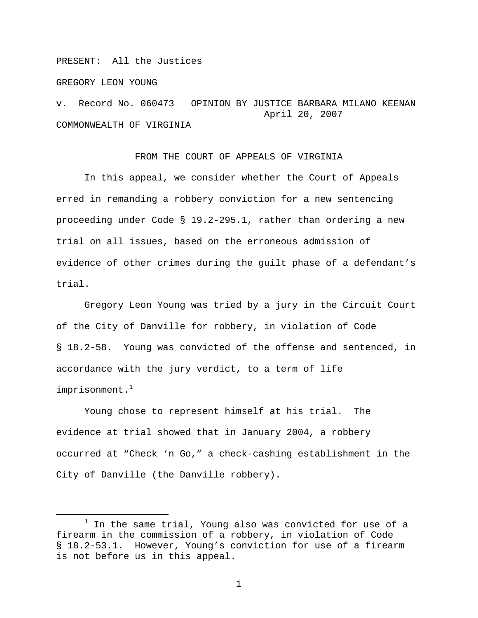PRESENT: All the Justices

GREGORY LEON YOUNG

v. Record No. 060473 OPINION BY JUSTICE BARBARA MILANO KEENAN April 20, 2007 COMMONWEALTH OF VIRGINIA

## FROM THE COURT OF APPEALS OF VIRGINIA

 In this appeal, we consider whether the Court of Appeals erred in remanding a robbery conviction for a new sentencing proceeding under Code § 19.2-295.1, rather than ordering a new trial on all issues, based on the erroneous admission of evidence of other crimes during the guilt phase of a defendant's trial.

 Gregory Leon Young was tried by a jury in the Circuit Court of the City of Danville for robbery, in violation of Code § 18.2-58. Young was convicted of the offense and sentenced, in accordance with the jury verdict, to a term of life imprisonment. $1$ 

Young chose to represent himself at his trial. The evidence at trial showed that in January 2004, a robbery occurred at "Check 'n Go," a check-cashing establishment in the City of Danville (the Danville robbery).

<sup>&</sup>lt;u>1</u>  $1$  In the same trial, Young also was convicted for use of a firearm in the commission of a robbery, in violation of Code § 18.2-53.1. However, Young's conviction for use of a firearm is not before us in this appeal.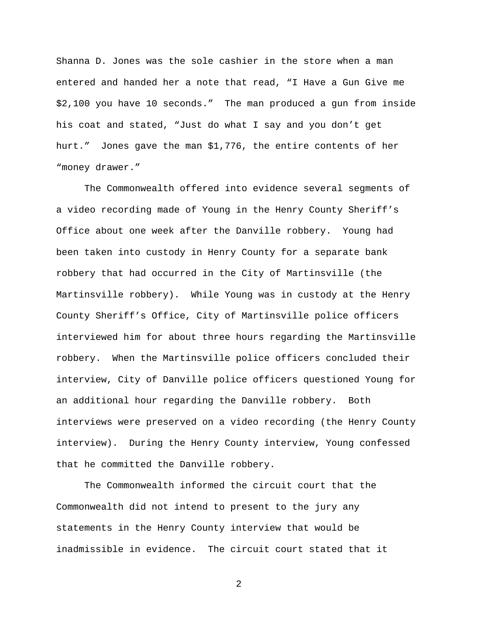Shanna D. Jones was the sole cashier in the store when a man entered and handed her a note that read, "I Have a Gun Give me \$2,100 you have 10 seconds." The man produced a gun from inside his coat and stated, "Just do what I say and you don't get hurt." Jones gave the man \$1,776, the entire contents of her "money drawer."

The Commonwealth offered into evidence several segments of a video recording made of Young in the Henry County Sheriff's Office about one week after the Danville robbery. Young had been taken into custody in Henry County for a separate bank robbery that had occurred in the City of Martinsville (the Martinsville robbery). While Young was in custody at the Henry County Sheriff's Office, City of Martinsville police officers interviewed him for about three hours regarding the Martinsville robbery. When the Martinsville police officers concluded their interview, City of Danville police officers questioned Young for an additional hour regarding the Danville robbery. Both interviews were preserved on a video recording (the Henry County interview). During the Henry County interview, Young confessed that he committed the Danville robbery.

The Commonwealth informed the circuit court that the Commonwealth did not intend to present to the jury any statements in the Henry County interview that would be inadmissible in evidence. The circuit court stated that it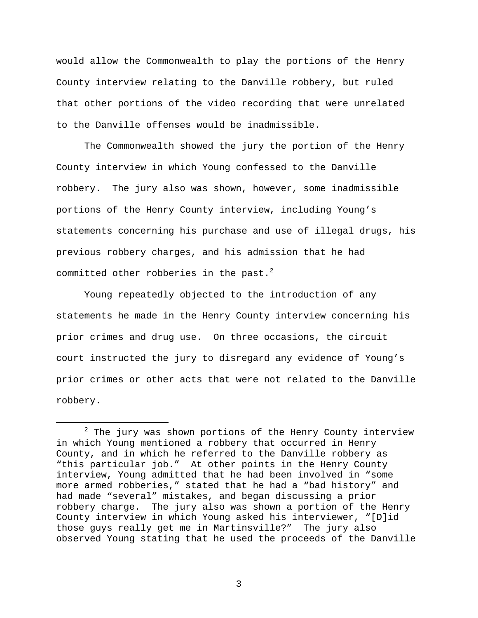would allow the Commonwealth to play the portions of the Henry County interview relating to the Danville robbery, but ruled that other portions of the video recording that were unrelated to the Danville offenses would be inadmissible.

The Commonwealth showed the jury the portion of the Henry County interview in which Young confessed to the Danville robbery. The jury also was shown, however, some inadmissible portions of the Henry County interview, including Young's statements concerning his purchase and use of illegal drugs, his previous robbery charges, and his admission that he had committed other robberies in the past. $2$ 

Young repeatedly objected to the introduction of any statements he made in the Henry County interview concerning his prior crimes and drug use. On three occasions, the circuit court instructed the jury to disregard any evidence of Young's prior crimes or other acts that were not related to the Danville robbery.

 $\begin{array}{c|c}\n\hline\n\end{array}$  $2$  The jury was shown portions of the Henry County interview in which Young mentioned a robbery that occurred in Henry County, and in which he referred to the Danville robbery as "this particular job." At other points in the Henry County interview, Young admitted that he had been involved in "some more armed robberies," stated that he had a "bad history" and had made "several" mistakes, and began discussing a prior robbery charge. The jury also was shown a portion of the Henry County interview in which Young asked his interviewer, "[D]id those guys really get me in Martinsville?" The jury also observed Young stating that he used the proceeds of the Danville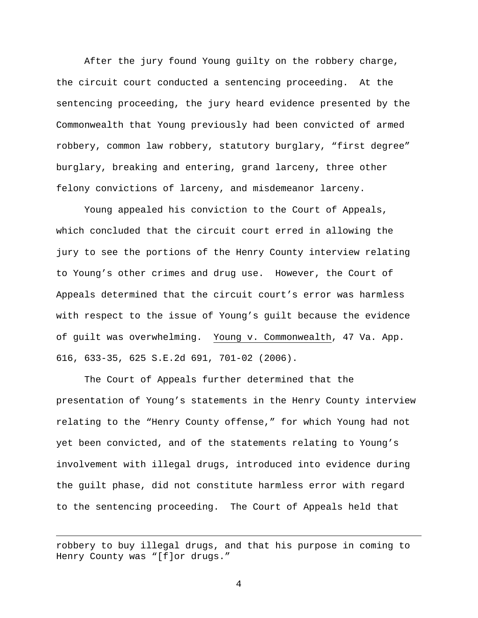After the jury found Young guilty on the robbery charge, the circuit court conducted a sentencing proceeding. At the sentencing proceeding, the jury heard evidence presented by the Commonwealth that Young previously had been convicted of armed robbery, common law robbery, statutory burglary, "first degree" burglary, breaking and entering, grand larceny, three other felony convictions of larceny, and misdemeanor larceny.

Young appealed his conviction to the Court of Appeals, which concluded that the circuit court erred in allowing the jury to see the portions of the Henry County interview relating to Young's other crimes and drug use. However, the Court of Appeals determined that the circuit court's error was harmless with respect to the issue of Young's guilt because the evidence of guilt was overwhelming. Young v. Commonwealth, 47 Va. App. 616, 633-35, 625 S.E.2d 691, 701-02 (2006).

The Court of Appeals further determined that the presentation of Young's statements in the Henry County interview relating to the "Henry County offense," for which Young had not yet been convicted, and of the statements relating to Young's involvement with illegal drugs, introduced into evidence during the guilt phase, did not constitute harmless error with regard to the sentencing proceeding. The Court of Appeals held that

robbery to buy illegal drugs, and that his purpose in coming to Henry County was "[f]or drugs."

i<br>Li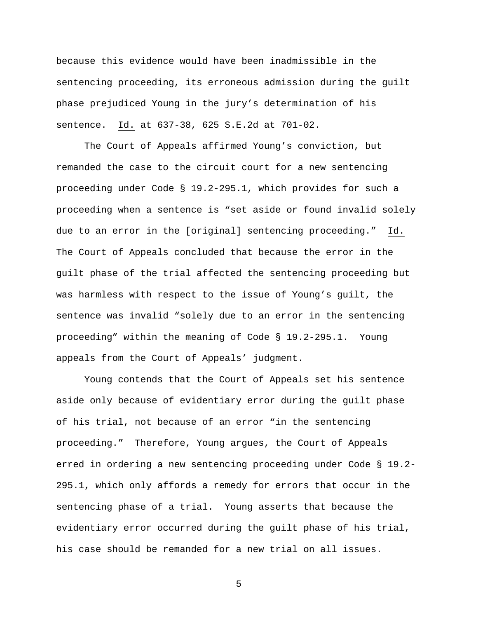because this evidence would have been inadmissible in the sentencing proceeding, its erroneous admission during the guilt phase prejudiced Young in the jury's determination of his sentence. Id. at 637-38, 625 S.E.2d at 701-02.

 The Court of Appeals affirmed Young's conviction, but remanded the case to the circuit court for a new sentencing proceeding under Code § 19.2-295.1, which provides for such a proceeding when a sentence is "set aside or found invalid solely due to an error in the [original] sentencing proceeding." Id. The Court of Appeals concluded that because the error in the guilt phase of the trial affected the sentencing proceeding but was harmless with respect to the issue of Young's guilt, the sentence was invalid "solely due to an error in the sentencing proceeding" within the meaning of Code § 19.2-295.1. Young appeals from the Court of Appeals' judgment.

 Young contends that the Court of Appeals set his sentence aside only because of evidentiary error during the guilt phase of his trial, not because of an error "in the sentencing proceeding." Therefore, Young argues, the Court of Appeals erred in ordering a new sentencing proceeding under Code § 19.2- 295.1, which only affords a remedy for errors that occur in the sentencing phase of a trial. Young asserts that because the evidentiary error occurred during the guilt phase of his trial, his case should be remanded for a new trial on all issues.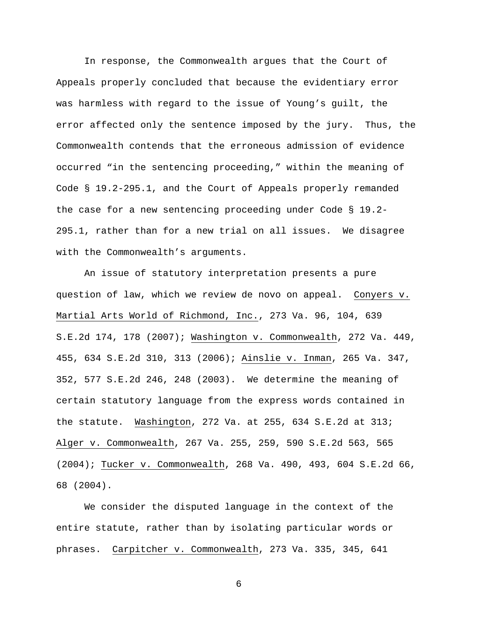In response, the Commonwealth argues that the Court of Appeals properly concluded that because the evidentiary error was harmless with regard to the issue of Young's guilt, the error affected only the sentence imposed by the jury. Thus, the Commonwealth contends that the erroneous admission of evidence occurred "in the sentencing proceeding," within the meaning of Code § 19.2-295.1, and the Court of Appeals properly remanded the case for a new sentencing proceeding under Code § 19.2- 295.1, rather than for a new trial on all issues. We disagree with the Commonwealth's arguments.

 An issue of statutory interpretation presents a pure question of law, which we review de novo on appeal. Conyers v. Martial Arts World of Richmond, Inc., 273 Va. 96, 104, 639 S.E.2d 174, 178 (2007); Washington v. Commonwealth, 272 Va. 449, 455, 634 S.E.2d 310, 313 (2006); Ainslie v. Inman, 265 Va. 347, 352, 577 S.E.2d 246, 248 (2003). We determine the meaning of certain statutory language from the express words contained in the statute. Washington, 272 Va. at 255, 634 S.E.2d at 313; Alger v. Commonwealth, 267 Va. 255, 259, 590 S.E.2d 563, 565 (2004); Tucker v. Commonwealth, 268 Va. 490, 493, 604 S.E.2d 66, 68 (2004).

We consider the disputed language in the context of the entire statute, rather than by isolating particular words or phrases. Carpitcher v. Commonwealth, 273 Va. 335, 345, 641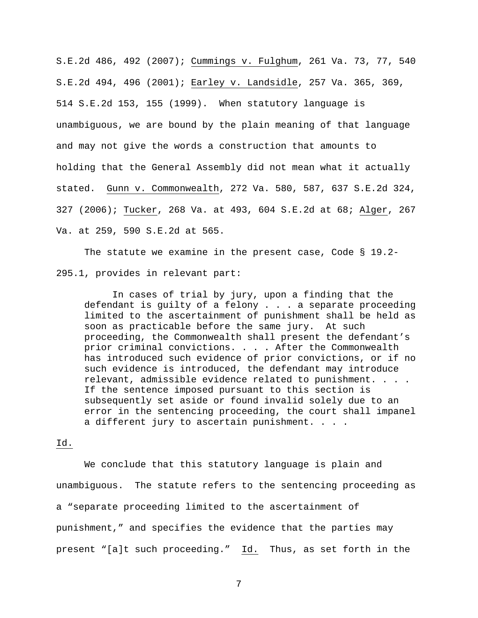S.E.2d 486, 492 (2007); Cummings v. Fulghum, 261 Va. 73, 77, 540 S.E.2d 494, 496 (2001); Earley v. Landsidle, 257 Va. 365, 369, 514 S.E.2d 153, 155 (1999). When statutory language is unambiguous, we are bound by the plain meaning of that language and may not give the words a construction that amounts to holding that the General Assembly did not mean what it actually stated. Gunn v. Commonwealth, 272 Va. 580, 587, 637 S.E.2d 324, 327 (2006); Tucker, 268 Va. at 493, 604 S.E.2d at 68; Alger, 267 Va. at 259, 590 S.E.2d at 565.

The statute we examine in the present case, Code § 19.2- 295.1, provides in relevant part:

In cases of trial by jury, upon a finding that the defendant is guilty of a felony . . . a separate proceeding limited to the ascertainment of punishment shall be held as soon as practicable before the same jury. At such proceeding, the Commonwealth shall present the defendant's prior criminal convictions. . . . After the Commonwealth has introduced such evidence of prior convictions, or if no such evidence is introduced, the defendant may introduce relevant, admissible evidence related to punishment. . . . If the sentence imposed pursuant to this section is subsequently set aside or found invalid solely due to an error in the sentencing proceeding, the court shall impanel a different jury to ascertain punishment. . . .

## Id.

 We conclude that this statutory language is plain and unambiguous. The statute refers to the sentencing proceeding as a "separate proceeding limited to the ascertainment of punishment," and specifies the evidence that the parties may present "[a]t such proceeding." Id. Thus, as set forth in the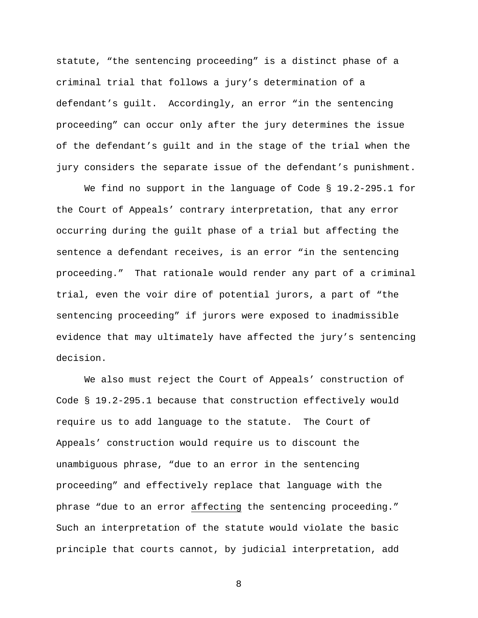statute, "the sentencing proceeding" is a distinct phase of a criminal trial that follows a jury's determination of a defendant's guilt. Accordingly, an error "in the sentencing proceeding" can occur only after the jury determines the issue of the defendant's guilt and in the stage of the trial when the jury considers the separate issue of the defendant's punishment.

We find no support in the language of Code § 19.2-295.1 for the Court of Appeals' contrary interpretation, that any error occurring during the guilt phase of a trial but affecting the sentence a defendant receives, is an error "in the sentencing proceeding." That rationale would render any part of a criminal trial, even the voir dire of potential jurors, a part of "the sentencing proceeding" if jurors were exposed to inadmissible evidence that may ultimately have affected the jury's sentencing decision.

 We also must reject the Court of Appeals' construction of Code § 19.2-295.1 because that construction effectively would require us to add language to the statute. The Court of Appeals' construction would require us to discount the unambiguous phrase, "due to an error in the sentencing proceeding" and effectively replace that language with the phrase "due to an error affecting the sentencing proceeding." Such an interpretation of the statute would violate the basic principle that courts cannot, by judicial interpretation, add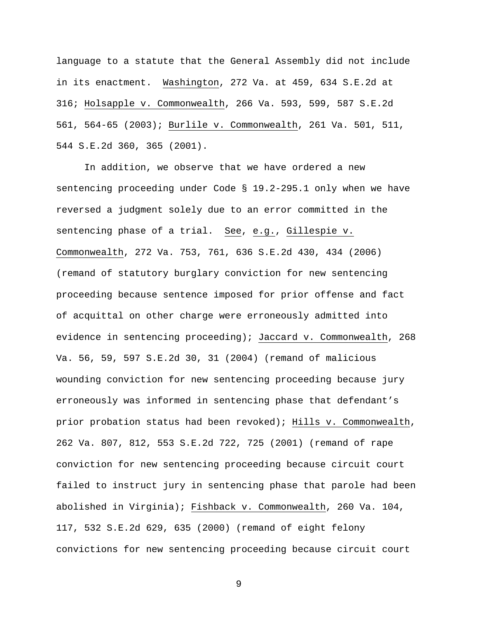language to a statute that the General Assembly did not include in its enactment. Washington, 272 Va. at 459, 634 S.E.2d at 316; Holsapple v. Commonwealth, 266 Va. 593, 599, 587 S.E.2d 561, 564-65 (2003); Burlile v. Commonwealth, 261 Va. 501, 511, 544 S.E.2d 360, 365 (2001).

 In addition, we observe that we have ordered a new sentencing proceeding under Code § 19.2-295.1 only when we have reversed a judgment solely due to an error committed in the sentencing phase of a trial. See, e.g., Gillespie v. Commonwealth, 272 Va. 753, 761, 636 S.E.2d 430, 434 (2006) (remand of statutory burglary conviction for new sentencing proceeding because sentence imposed for prior offense and fact of acquittal on other charge were erroneously admitted into evidence in sentencing proceeding); Jaccard v. Commonwealth, 268 Va. 56, 59, 597 S.E.2d 30, 31 (2004) (remand of malicious wounding conviction for new sentencing proceeding because jury erroneously was informed in sentencing phase that defendant's prior probation status had been revoked); Hills v. Commonwealth, 262 Va. 807, 812, 553 S.E.2d 722, 725 (2001) (remand of rape conviction for new sentencing proceeding because circuit court failed to instruct jury in sentencing phase that parole had been abolished in Virginia); Fishback v. Commonwealth, 260 Va. 104, 117, 532 S.E.2d 629, 635 (2000) (remand of eight felony convictions for new sentencing proceeding because circuit court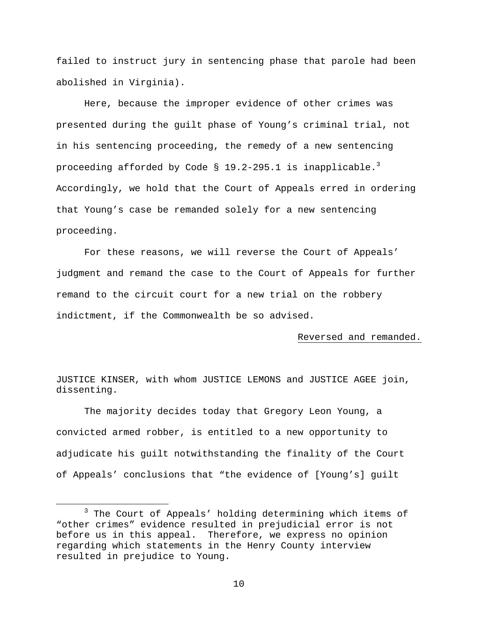failed to instruct jury in sentencing phase that parole had been abolished in Virginia).

 Here, because the improper evidence of other crimes was presented during the guilt phase of Young's criminal trial, not in his sentencing proceeding, the remedy of a new sentencing proceeding afforded by Code § 19.2-295.1 is inapplicable. $^3$ Accordingly, we hold that the Court of Appeals erred in ordering that Young's case be remanded solely for a new sentencing proceeding.

 For these reasons, we will reverse the Court of Appeals' judgment and remand the case to the Court of Appeals for further remand to the circuit court for a new trial on the robbery indictment, if the Commonwealth be so advised.

## Reversed and remanded.

JUSTICE KINSER, with whom JUSTICE LEMONS and JUSTICE AGEE join, dissenting.

The majority decides today that Gregory Leon Young, a convicted armed robber, is entitled to a new opportunity to adjudicate his guilt notwithstanding the finality of the Court of Appeals' conclusions that "the evidence of [Young's] guilt

 $\frac{1}{3}$  $3$  The Court of Appeals' holding determining which items of "other crimes" evidence resulted in prejudicial error is not before us in this appeal. Therefore, we express no opinion regarding which statements in the Henry County interview resulted in prejudice to Young.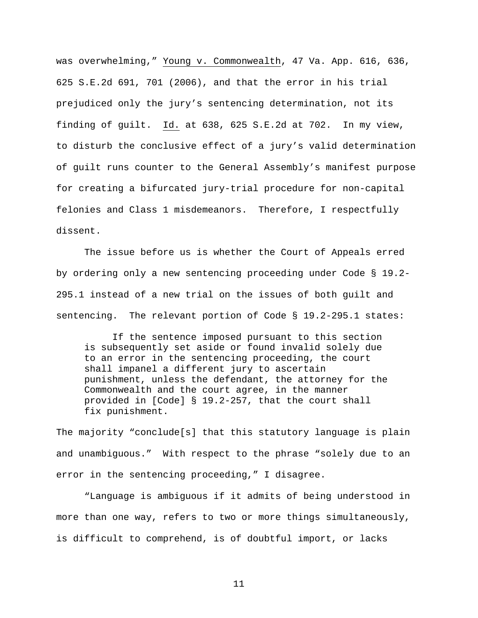was overwhelming," Young v. Commonwealth, 47 Va. App. 616, 636, 625 S.E.2d 691, 701 (2006), and that the error in his trial prejudiced only the jury's sentencing determination, not its finding of guilt. Id. at 638, 625 S.E.2d at 702. In my view, to disturb the conclusive effect of a jury's valid determination of guilt runs counter to the General Assembly's manifest purpose for creating a bifurcated jury-trial procedure for non-capital felonies and Class 1 misdemeanors. Therefore, I respectfully dissent.

 The issue before us is whether the Court of Appeals erred by ordering only a new sentencing proceeding under Code § 19.2- 295.1 instead of a new trial on the issues of both guilt and sentencing. The relevant portion of Code § 19.2-295.1 states:

 If the sentence imposed pursuant to this section is subsequently set aside or found invalid solely due to an error in the sentencing proceeding, the court shall impanel a different jury to ascertain punishment, unless the defendant, the attorney for the Commonwealth and the court agree, in the manner provided in [Code] § 19.2-257, that the court shall fix punishment.

The majority "conclude[s] that this statutory language is plain and unambiguous." With respect to the phrase "solely due to an error in the sentencing proceeding," I disagree.

"Language is ambiguous if it admits of being understood in more than one way, refers to two or more things simultaneously, is difficult to comprehend, is of doubtful import, or lacks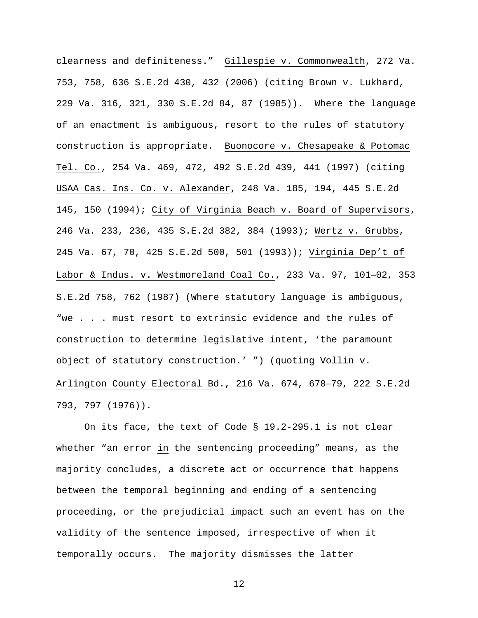clearness and definiteness." Gillespie v. Commonwealth, 272 Va. 753, 758, 636 S.E.2d 430, 432 (2006) (citing Brown v. Lukhard, 229 Va. 316, 321, 330 S.E.2d 84, 87 (1985)). Where the language of an enactment is ambiguous, resort to the rules of statutory construction is appropriate. Buonocore v. Chesapeake & Potomac Tel. Co., 254 Va. 469, 472, 492 S.E.2d 439, 441 (1997) (citing USAA Cas. Ins. Co. v. Alexander, 248 Va. 185, 194, 445 S.E.2d 145, 150 (1994); City of Virginia Beach v. Board of Supervisors, 246 Va. 233, 236, 435 S.E.2d 382, 384 (1993); Wertz v. Grubbs, 245 Va. 67, 70, 425 S.E.2d 500, 501 (1993)); Virginia Dep't of Labor & Indus. v. Westmoreland Coal Co., 233 Va. 97, 101−02, 353 S.E.2d 758, 762 (1987) (Where statutory language is ambiguous, "we . . . must resort to extrinsic evidence and the rules of construction to determine legislative intent, 'the paramount object of statutory construction.' ") (quoting Vollin v. Arlington County Electoral Bd., 216 Va. 674, 678−79, 222 S.E.2d 793, 797 (1976)).

On its face, the text of Code § 19.2-295.1 is not clear whether "an error in the sentencing proceeding" means, as the majority concludes, a discrete act or occurrence that happens between the temporal beginning and ending of a sentencing proceeding, or the prejudicial impact such an event has on the validity of the sentence imposed, irrespective of when it temporally occurs. The majority dismisses the latter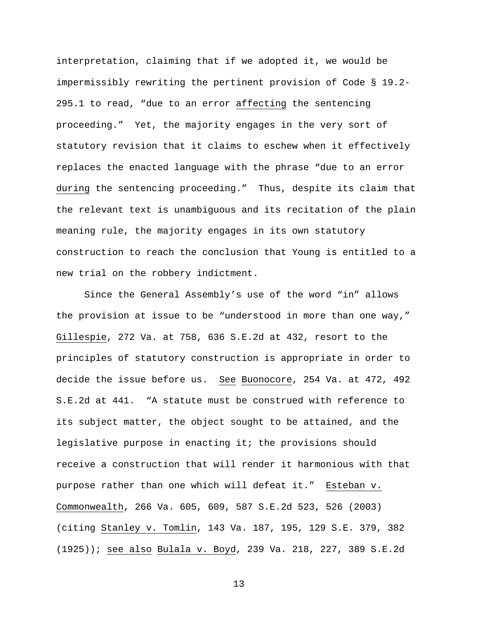interpretation, claiming that if we adopted it, we would be impermissibly rewriting the pertinent provision of Code § 19.2- 295.1 to read, "due to an error affecting the sentencing proceeding." Yet, the majority engages in the very sort of statutory revision that it claims to eschew when it effectively replaces the enacted language with the phrase "due to an error during the sentencing proceeding." Thus, despite its claim that the relevant text is unambiguous and its recitation of the plain meaning rule, the majority engages in its own statutory construction to reach the conclusion that Young is entitled to a new trial on the robbery indictment.

Since the General Assembly's use of the word "in" allows the provision at issue to be "understood in more than one way," Gillespie, 272 Va. at 758, 636 S.E.2d at 432, resort to the principles of statutory construction is appropriate in order to decide the issue before us. See Buonocore, 254 Va. at 472, 492 S.E.2d at 441. "A statute must be construed with reference to its subject matter, the object sought to be attained, and the legislative purpose in enacting it; the provisions should receive a construction that will render it harmonious with that purpose rather than one which will defeat it." Esteban v. Commonwealth, 266 Va. 605, 609, 587 S.E.2d 523, 526 (2003) (citing Stanley v. Tomlin, 143 Va. 187, 195, 129 S.E. 379, 382 (1925)); see also Bulala v. Boyd, 239 Va. 218, 227, 389 S.E.2d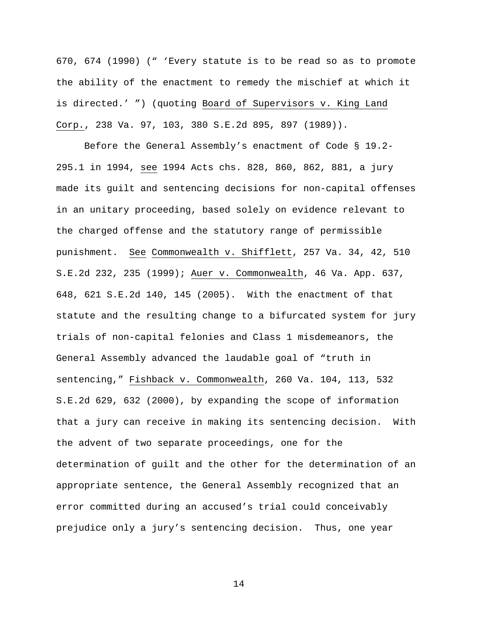670, 674 (1990) (" 'Every statute is to be read so as to promote the ability of the enactment to remedy the mischief at which it is directed.' ") (quoting Board of Supervisors v. King Land Corp., 238 Va. 97, 103, 380 S.E.2d 895, 897 (1989)).

Before the General Assembly's enactment of Code § 19.2- 295.1 in 1994, see 1994 Acts chs. 828, 860, 862, 881, a jury made its guilt and sentencing decisions for non-capital offenses in an unitary proceeding, based solely on evidence relevant to the charged offense and the statutory range of permissible punishment. See Commonwealth v. Shifflett, 257 Va. 34, 42, 510 S.E.2d 232, 235 (1999); Auer v. Commonwealth, 46 Va. App. 637, 648, 621 S.E.2d 140, 145 (2005). With the enactment of that statute and the resulting change to a bifurcated system for jury trials of non-capital felonies and Class 1 misdemeanors, the General Assembly advanced the laudable goal of "truth in sentencing," Fishback v. Commonwealth, 260 Va. 104, 113, 532 S.E.2d 629, 632 (2000), by expanding the scope of information that a jury can receive in making its sentencing decision. With the advent of two separate proceedings, one for the determination of guilt and the other for the determination of an appropriate sentence, the General Assembly recognized that an error committed during an accused's trial could conceivably prejudice only a jury's sentencing decision. Thus, one year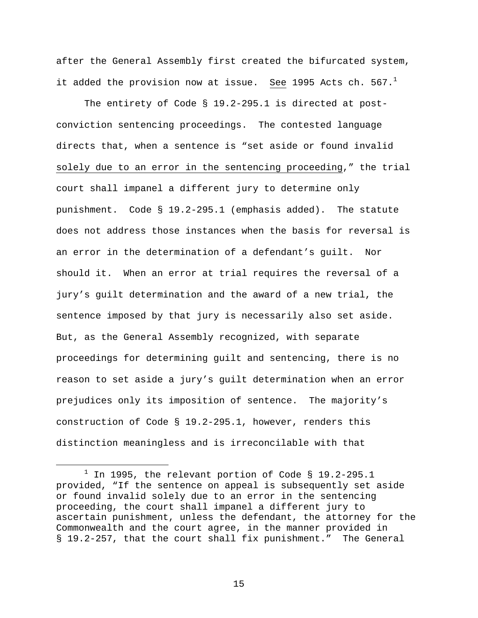after the General Assembly first created the bifurcated system, it added the provision now at issue. See 1995 Acts ch.  $567.^1$ 

The entirety of Code § 19.2-295.1 is directed at postconviction sentencing proceedings. The contested language directs that, when a sentence is "set aside or found invalid solely due to an error in the sentencing proceeding," the trial court shall impanel a different jury to determine only punishment. Code § 19.2-295.1 (emphasis added). The statute does not address those instances when the basis for reversal is an error in the determination of a defendant's guilt. Nor should it. When an error at trial requires the reversal of a jury's guilt determination and the award of a new trial, the sentence imposed by that jury is necessarily also set aside. But, as the General Assembly recognized, with separate proceedings for determining guilt and sentencing, there is no reason to set aside a jury's guilt determination when an error prejudices only its imposition of sentence. The majority's construction of Code § 19.2-295.1, however, renders this distinction meaningless and is irreconcilable with that

 $\overline{\phantom{a}}$  $1$  In 1995, the relevant portion of Code § 19.2-295.1 provided, "If the sentence on appeal is subsequently set aside or found invalid solely due to an error in the sentencing proceeding, the court shall impanel a different jury to ascertain punishment, unless the defendant, the attorney for the Commonwealth and the court agree, in the manner provided in § 19.2-257, that the court shall fix punishment." The General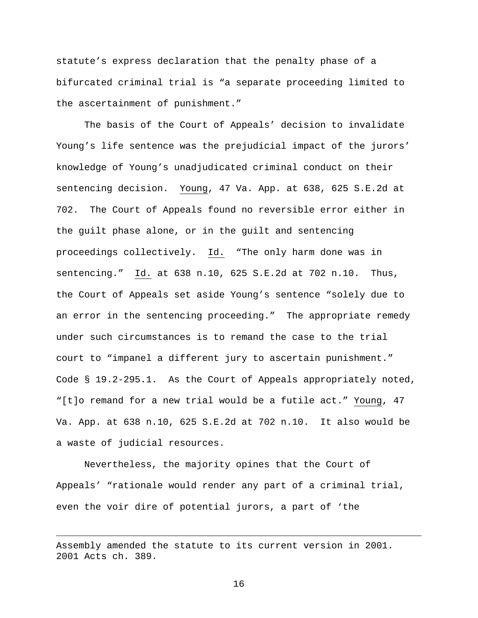statute's express declaration that the penalty phase of a bifurcated criminal trial is "a separate proceeding limited to the ascertainment of punishment."

The basis of the Court of Appeals' decision to invalidate Young's life sentence was the prejudicial impact of the jurors' knowledge of Young's unadjudicated criminal conduct on their sentencing decision. Young, 47 Va. App. at 638, 625 S.E.2d at 702. The Court of Appeals found no reversible error either in the guilt phase alone, or in the guilt and sentencing proceedings collectively. Id. "The only harm done was in sentencing." Id. at 638 n.10, 625 S.E.2d at 702 n.10. Thus, the Court of Appeals set aside Young's sentence "solely due to an error in the sentencing proceeding." The appropriate remedy under such circumstances is to remand the case to the trial court to "impanel a different jury to ascertain punishment." Code § 19.2-295.1. As the Court of Appeals appropriately noted, "[t]o remand for a new trial would be a futile act." Young, 47 Va. App. at 638 n.10, 625 S.E.2d at 702 n.10. It also would be a waste of judicial resources.

Nevertheless, the majority opines that the Court of Appeals' "rationale would render any part of a criminal trial, even the voir dire of potential jurors, a part of 'the

Assembly amended the statute to its current version in 2001. 2001 Acts ch. 389.

i<br>Li